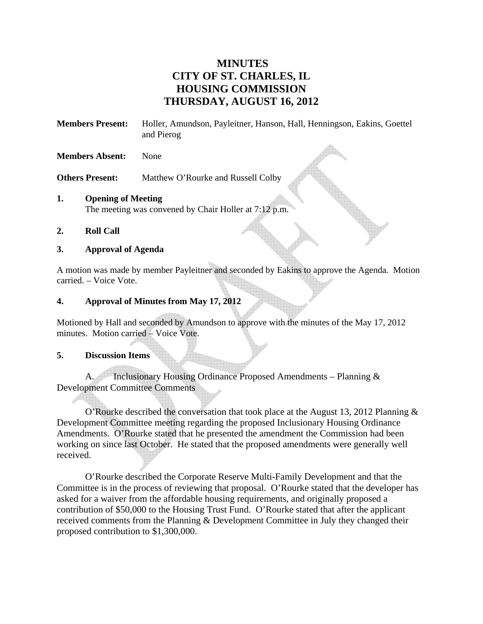# **MINUTES CITY OF ST. CHARLES, IL HOUSING COMMISSION THURSDAY, AUGUST 16, 2012**

**Members Present:** Holler, Amundson, Payleitner, Hanson, Hall, Henningson, Eakins, Goettel and Pierog

#### **Members Absent:** None

**Others Present:** Matthew O'Rourke and Russell Colby

### **1. Opening of Meeting**  The meeting was convened by Chair Holler at 7:12 p.m.

#### **2. Roll Call**

### **3. Approval of Agenda**

A motion was made by member Payleitner and seconded by Eakins to approve the Agenda. Motion carried. – Voice Vote.

### **4. Approval of Minutes from May 17, 2012**

Motioned by Hall and seconded by Amundson to approve with the minutes of the May 17, 2012 minutes. Motion carried – Voice Vote.

#### **5. Discussion Items**

A. Inclusionary Housing Ordinance Proposed Amendments – Planning & Development Committee Comments

O'Rourke described the conversation that took place at the August 13, 2012 Planning & Development Committee meeting regarding the proposed Inclusionary Housing Ordinance Amendments. O'Rourke stated that he presented the amendment the Commission had been working on since last October. He stated that the proposed amendments were generally well received.

O'Rourke described the Corporate Reserve Multi-Family Development and that the Committee is in the process of reviewing that proposal. O'Rourke stated that the developer has asked for a waiver from the affordable housing requirements, and originally proposed a contribution of \$50,000 to the Housing Trust Fund. O'Rourke stated that after the applicant received comments from the Planning & Development Committee in July they changed their proposed contribution to \$1,300,000.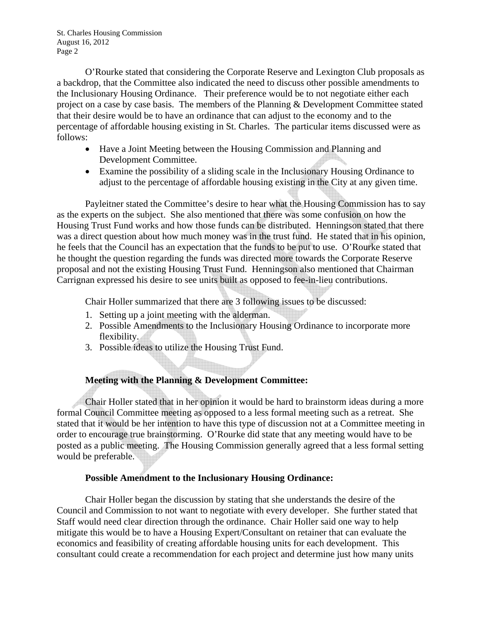O'Rourke stated that considering the Corporate Reserve and Lexington Club proposals as a backdrop, that the Committee also indicated the need to discuss other possible amendments to the Inclusionary Housing Ordinance. Their preference would be to not negotiate either each project on a case by case basis. The members of the Planning & Development Committee stated that their desire would be to have an ordinance that can adjust to the economy and to the percentage of affordable housing existing in St. Charles. The particular items discussed were as follows:

- Have a Joint Meeting between the Housing Commission and Planning and Development Committee.
- Examine the possibility of a sliding scale in the Inclusionary Housing Ordinance to adjust to the percentage of affordable housing existing in the City at any given time.

Payleitner stated the Committee's desire to hear what the Housing Commission has to say as the experts on the subject. She also mentioned that there was some confusion on how the Housing Trust Fund works and how those funds can be distributed. Henningson stated that there was a direct question about how much money was in the trust fund. He stated that in his opinion, he feels that the Council has an expectation that the funds to be put to use. O'Rourke stated that he thought the question regarding the funds was directed more towards the Corporate Reserve proposal and not the existing Housing Trust Fund. Henningson also mentioned that Chairman Carrignan expressed his desire to see units built as opposed to fee-in-lieu contributions.

Chair Holler summarized that there are 3 following issues to be discussed:

- 1. Setting up a joint meeting with the alderman.
- 2. Possible Amendments to the Inclusionary Housing Ordinance to incorporate more flexibility.
- 3. Possible ideas to utilize the Housing Trust Fund.

# **Meeting with the Planning & Development Committee:**

Chair Holler stated that in her opinion it would be hard to brainstorm ideas during a more formal Council Committee meeting as opposed to a less formal meeting such as a retreat. She stated that it would be her intention to have this type of discussion not at a Committee meeting in order to encourage true brainstorming. O'Rourke did state that any meeting would have to be posted as a public meeting. The Housing Commission generally agreed that a less formal setting would be preferable.

### **Possible Amendment to the Inclusionary Housing Ordinance:**

Chair Holler began the discussion by stating that she understands the desire of the Council and Commission to not want to negotiate with every developer. She further stated that Staff would need clear direction through the ordinance. Chair Holler said one way to help mitigate this would be to have a Housing Expert/Consultant on retainer that can evaluate the economics and feasibility of creating affordable housing units for each development. This consultant could create a recommendation for each project and determine just how many units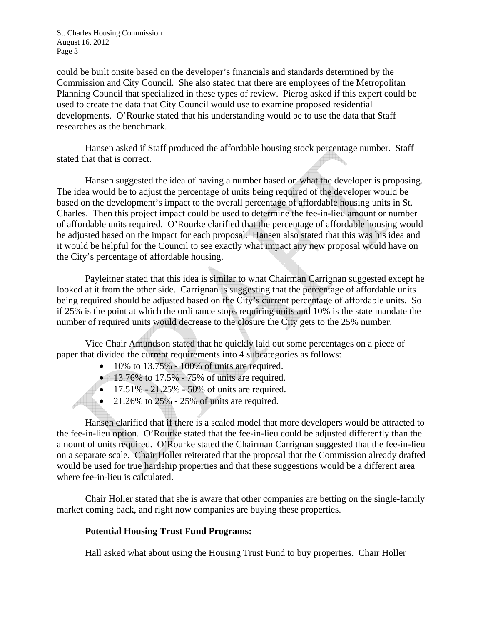could be built onsite based on the developer's financials and standards determined by the Commission and City Council. She also stated that there are employees of the Metropolitan Planning Council that specialized in these types of review. Pierog asked if this expert could be used to create the data that City Council would use to examine proposed residential developments. O'Rourke stated that his understanding would be to use the data that Staff researches as the benchmark.

Hansen asked if Staff produced the affordable housing stock percentage number. Staff stated that that is correct.

Hansen suggested the idea of having a number based on what the developer is proposing. The idea would be to adjust the percentage of units being required of the developer would be based on the development's impact to the overall percentage of affordable housing units in St. Charles. Then this project impact could be used to determine the fee-in-lieu amount or number of affordable units required. O'Rourke clarified that the percentage of affordable housing would be adjusted based on the impact for each proposal. Hansen also stated that this was his idea and it would be helpful for the Council to see exactly what impact any new proposal would have on the City's percentage of affordable housing.

Payleitner stated that this idea is similar to what Chairman Carrignan suggested except he looked at it from the other side. Carrignan is suggesting that the percentage of affordable units being required should be adjusted based on the City's current percentage of affordable units. So if 25% is the point at which the ordinance stops requiring units and 10% is the state mandate the number of required units would decrease to the closure the City gets to the 25% number.

Vice Chair Amundson stated that he quickly laid out some percentages on a piece of paper that divided the current requirements into 4 subcategories as follows:

- $\bullet$  10% to 13.75% 100% of units are required.
- $\bullet$  13.76% to 17.5% 75% of units are required.
- $17.51\% 21.25\% 50\%$  of units are required.
- 21.26% to  $25% 25%$  of units are required.

Hansen clarified that if there is a scaled model that more developers would be attracted to the fee-in-lieu option. O'Rourke stated that the fee-in-lieu could be adjusted differently than the amount of units required. O'Rourke stated the Chairman Carrignan suggested that the fee-in-lieu on a separate scale. Chair Holler reiterated that the proposal that the Commission already drafted would be used for true hardship properties and that these suggestions would be a different area where fee-in-lieu is calculated.

Chair Holler stated that she is aware that other companies are betting on the single-family market coming back, and right now companies are buying these properties.

# **Potential Housing Trust Fund Programs:**

Hall asked what about using the Housing Trust Fund to buy properties. Chair Holler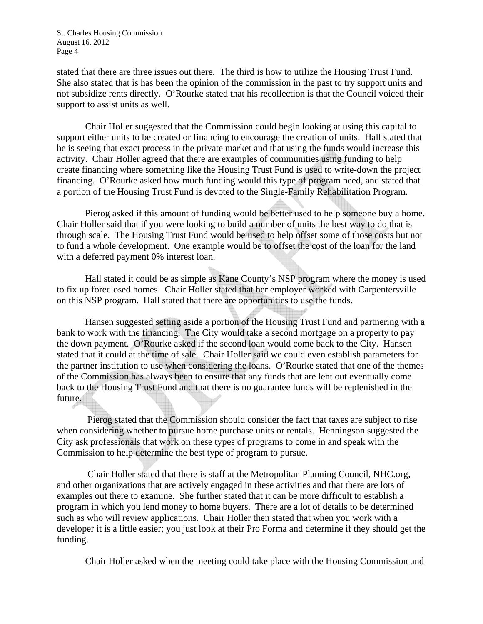stated that there are three issues out there. The third is how to utilize the Housing Trust Fund. She also stated that is has been the opinion of the commission in the past to try support units and not subsidize rents directly. O'Rourke stated that his recollection is that the Council voiced their support to assist units as well.

Chair Holler suggested that the Commission could begin looking at using this capital to support either units to be created or financing to encourage the creation of units. Hall stated that he is seeing that exact process in the private market and that using the funds would increase this activity. Chair Holler agreed that there are examples of communities using funding to help create financing where something like the Housing Trust Fund is used to write-down the project financing. O'Rourke asked how much funding would this type of program need, and stated that a portion of the Housing Trust Fund is devoted to the Single-Family Rehabilitation Program.

Pierog asked if this amount of funding would be better used to help someone buy a home. Chair Holler said that if you were looking to build a number of units the best way to do that is through scale. The Housing Trust Fund would be used to help offset some of those costs but not to fund a whole development. One example would be to offset the cost of the loan for the land with a deferred payment 0% interest loan.

Hall stated it could be as simple as Kane County's NSP program where the money is used to fix up foreclosed homes. Chair Holler stated that her employer worked with Carpentersville on this NSP program. Hall stated that there are opportunities to use the funds.

Hansen suggested setting aside a portion of the Housing Trust Fund and partnering with a bank to work with the financing. The City would take a second mortgage on a property to pay the down payment. O'Rourke asked if the second loan would come back to the City. Hansen stated that it could at the time of sale. Chair Holler said we could even establish parameters for the partner institution to use when considering the loans. O'Rourke stated that one of the themes of the Commission has always been to ensure that any funds that are lent out eventually come back to the Housing Trust Fund and that there is no guarantee funds will be replenished in the future.

 Pierog stated that the Commission should consider the fact that taxes are subject to rise when considering whether to pursue home purchase units or rentals. Henningson suggested the City ask professionals that work on these types of programs to come in and speak with the Commission to help determine the best type of program to pursue.

 Chair Holler stated that there is staff at the Metropolitan Planning Council, NHC.org, and other organizations that are actively engaged in these activities and that there are lots of examples out there to examine. She further stated that it can be more difficult to establish a program in which you lend money to home buyers. There are a lot of details to be determined such as who will review applications. Chair Holler then stated that when you work with a developer it is a little easier; you just look at their Pro Forma and determine if they should get the funding.

Chair Holler asked when the meeting could take place with the Housing Commission and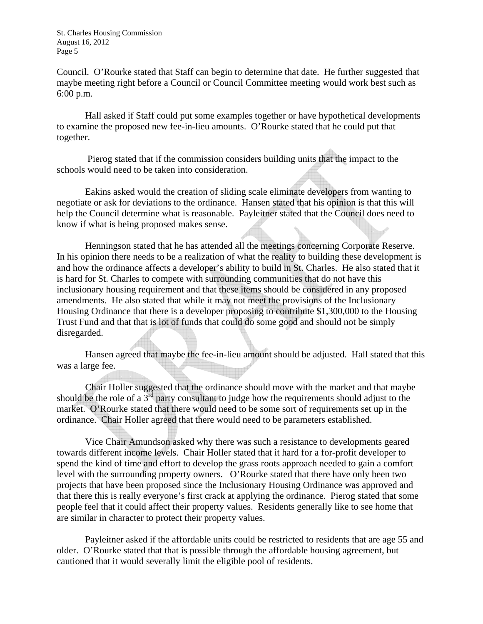Council. O'Rourke stated that Staff can begin to determine that date. He further suggested that maybe meeting right before a Council or Council Committee meeting would work best such as 6:00 p.m.

Hall asked if Staff could put some examples together or have hypothetical developments to examine the proposed new fee-in-lieu amounts. O'Rourke stated that he could put that together.

 Pierog stated that if the commission considers building units that the impact to the schools would need to be taken into consideration.

Eakins asked would the creation of sliding scale eliminate developers from wanting to negotiate or ask for deviations to the ordinance. Hansen stated that his opinion is that this will help the Council determine what is reasonable. Payleitner stated that the Council does need to know if what is being proposed makes sense.

Henningson stated that he has attended all the meetings concerning Corporate Reserve. In his opinion there needs to be a realization of what the reality to building these development is and how the ordinance affects a developer's ability to build in St. Charles. He also stated that it is hard for St. Charles to compete with surrounding communities that do not have this inclusionary housing requirement and that these items should be considered in any proposed amendments. He also stated that while it may not meet the provisions of the Inclusionary Housing Ordinance that there is a developer proposing to contribute \$1,300,000 to the Housing Trust Fund and that that is lot of funds that could do some good and should not be simply disregarded.

Hansen agreed that maybe the fee-in-lieu amount should be adjusted. Hall stated that this was a large fee.

Chair Holler suggested that the ordinance should move with the market and that maybe should be the role of a  $3^{rd}$  party consultant to judge how the requirements should adjust to the market. O'Rourke stated that there would need to be some sort of requirements set up in the ordinance. Chair Holler agreed that there would need to be parameters established.

Vice Chair Amundson asked why there was such a resistance to developments geared towards different income levels. Chair Holler stated that it hard for a for-profit developer to spend the kind of time and effort to develop the grass roots approach needed to gain a comfort level with the surrounding property owners. O'Rourke stated that there have only been two projects that have been proposed since the Inclusionary Housing Ordinance was approved and that there this is really everyone's first crack at applying the ordinance. Pierog stated that some people feel that it could affect their property values. Residents generally like to see home that are similar in character to protect their property values.

Payleitner asked if the affordable units could be restricted to residents that are age 55 and older. O'Rourke stated that that is possible through the affordable housing agreement, but cautioned that it would severally limit the eligible pool of residents.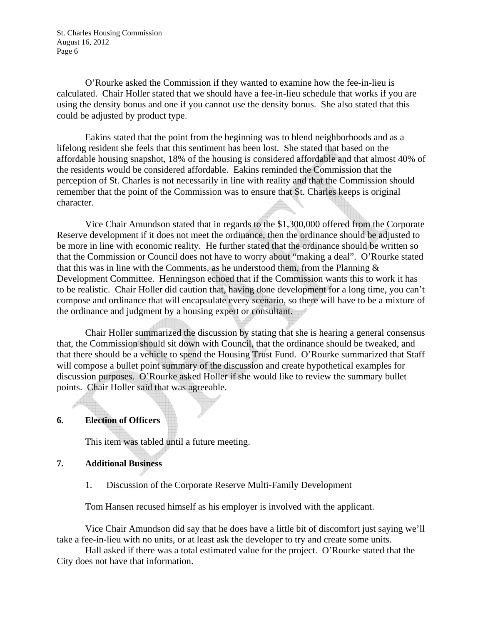O'Rourke asked the Commission if they wanted to examine how the fee-in-lieu is calculated. Chair Holler stated that we should have a fee-in-lieu schedule that works if you are using the density bonus and one if you cannot use the density bonus. She also stated that this could be adjusted by product type.

Eakins stated that the point from the beginning was to blend neighborhoods and as a lifelong resident she feels that this sentiment has been lost. She stated that based on the affordable housing snapshot, 18% of the housing is considered affordable and that almost 40% of the residents would be considered affordable. Eakins reminded the Commission that the perception of St. Charles is not necessarily in line with reality and that the Commission should remember that the point of the Commission was to ensure that St. Charles keeps is original character.

Vice Chair Amundson stated that in regards to the \$1,300,000 offered from the Corporate Reserve development if it does not meet the ordinance, then the ordinance should be adjusted to be more in line with economic reality. He further stated that the ordinance should be written so that the Commission or Council does not have to worry about "making a deal". O'Rourke stated that this was in line with the Comments, as he understood them, from the Planning  $\&$ Development Committee. Henningson echoed that if the Commission wants this to work it has to be realistic. Chair Holler did caution that, having done development for a long time, you can't compose and ordinance that will encapsulate every scenario, so there will have to be a mixture of the ordinance and judgment by a housing expert or consultant.

Chair Holler summarized the discussion by stating that she is hearing a general consensus that, the Commission should sit down with Council, that the ordinance should be tweaked, and that there should be a vehicle to spend the Housing Trust Fund. O'Rourke summarized that Staff will compose a bullet point summary of the discussion and create hypothetical examples for discussion purposes. O'Rourke asked Holler if she would like to review the summary bullet points. Chair Holler said that was agreeable.

### **6. Election of Officers**

This item was tabled until a future meeting.

### **7. Additional Business**

1. Discussion of the Corporate Reserve Multi-Family Development

Tom Hansen recused himself as his employer is involved with the applicant.

Vice Chair Amundson did say that he does have a little bit of discomfort just saying we'll take a fee-in-lieu with no units, or at least ask the developer to try and create some units.

Hall asked if there was a total estimated value for the project. O'Rourke stated that the City does not have that information.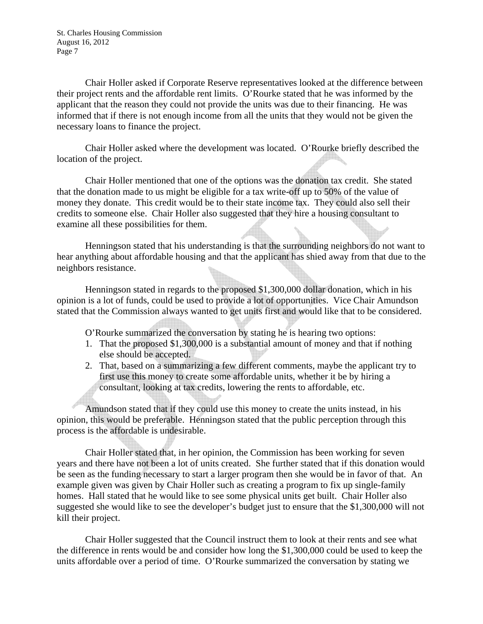Chair Holler asked if Corporate Reserve representatives looked at the difference between their project rents and the affordable rent limits. O'Rourke stated that he was informed by the applicant that the reason they could not provide the units was due to their financing. He was informed that if there is not enough income from all the units that they would not be given the necessary loans to finance the project.

Chair Holler asked where the development was located. O'Rourke briefly described the location of the project.

Chair Holler mentioned that one of the options was the donation tax credit. She stated that the donation made to us might be eligible for a tax write-off up to 50% of the value of money they donate. This credit would be to their state income tax. They could also sell their credits to someone else. Chair Holler also suggested that they hire a housing consultant to examine all these possibilities for them.

Henningson stated that his understanding is that the surrounding neighbors do not want to hear anything about affordable housing and that the applicant has shied away from that due to the neighbors resistance.

Henningson stated in regards to the proposed \$1,300,000 dollar donation, which in his opinion is a lot of funds, could be used to provide a lot of opportunities. Vice Chair Amundson stated that the Commission always wanted to get units first and would like that to be considered.

O'Rourke summarized the conversation by stating he is hearing two options:

- 1. That the proposed \$1,300,000 is a substantial amount of money and that if nothing else should be accepted.
- 2. That, based on a summarizing a few different comments, maybe the applicant try to first use this money to create some affordable units, whether it be by hiring a consultant, looking at tax credits, lowering the rents to affordable, etc.

Amundson stated that if they could use this money to create the units instead, in his opinion, this would be preferable. Henningson stated that the public perception through this process is the affordable is undesirable.

Chair Holler stated that, in her opinion, the Commission has been working for seven years and there have not been a lot of units created. She further stated that if this donation would be seen as the funding necessary to start a larger program then she would be in favor of that. An example given was given by Chair Holler such as creating a program to fix up single-family homes. Hall stated that he would like to see some physical units get built. Chair Holler also suggested she would like to see the developer's budget just to ensure that the \$1,300,000 will not kill their project.

Chair Holler suggested that the Council instruct them to look at their rents and see what the difference in rents would be and consider how long the \$1,300,000 could be used to keep the units affordable over a period of time. O'Rourke summarized the conversation by stating we